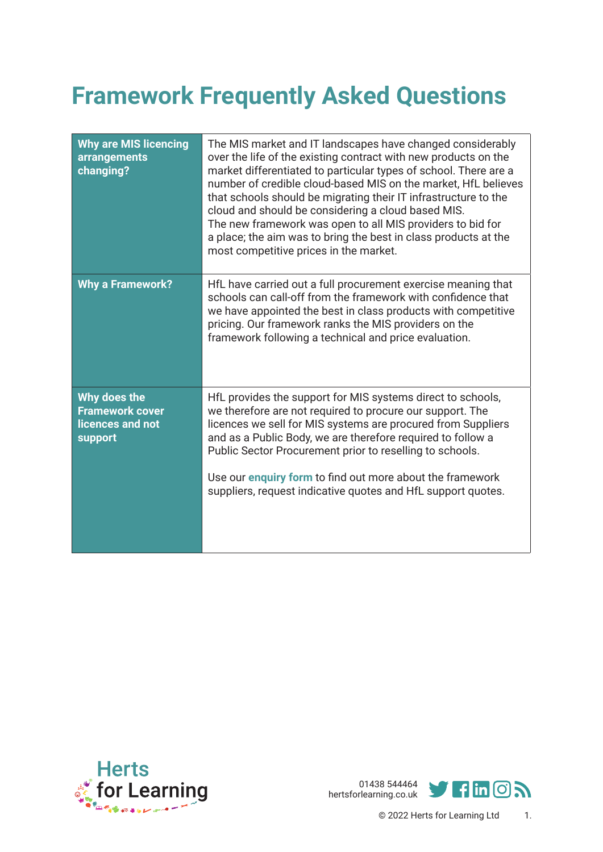## **Framework Frequently Asked Questions**

| <b>Why are MIS licencing</b><br>arrangements<br>changing?             | The MIS market and IT landscapes have changed considerably<br>over the life of the existing contract with new products on the<br>market differentiated to particular types of school. There are a<br>number of credible cloud-based MIS on the market, HfL believes<br>that schools should be migrating their IT infrastructure to the<br>cloud and should be considering a cloud based MIS.<br>The new framework was open to all MIS providers to bid for<br>a place; the aim was to bring the best in class products at the<br>most competitive prices in the market. |
|-----------------------------------------------------------------------|-------------------------------------------------------------------------------------------------------------------------------------------------------------------------------------------------------------------------------------------------------------------------------------------------------------------------------------------------------------------------------------------------------------------------------------------------------------------------------------------------------------------------------------------------------------------------|
| <b>Why a Framework?</b>                                               | HfL have carried out a full procurement exercise meaning that<br>schools can call-off from the framework with confidence that<br>we have appointed the best in class products with competitive<br>pricing. Our framework ranks the MIS providers on the<br>framework following a technical and price evaluation.                                                                                                                                                                                                                                                        |
| Why does the<br><b>Framework cover</b><br>licences and not<br>support | HfL provides the support for MIS systems direct to schools,<br>we therefore are not required to procure our support. The<br>licences we sell for MIS systems are procured from Suppliers<br>and as a Public Body, we are therefore required to follow a<br>Public Sector Procurement prior to reselling to schools.<br>Use our enquiry form to find out more about the framework<br>suppliers, request indicative quotes and HfL support quotes.                                                                                                                        |



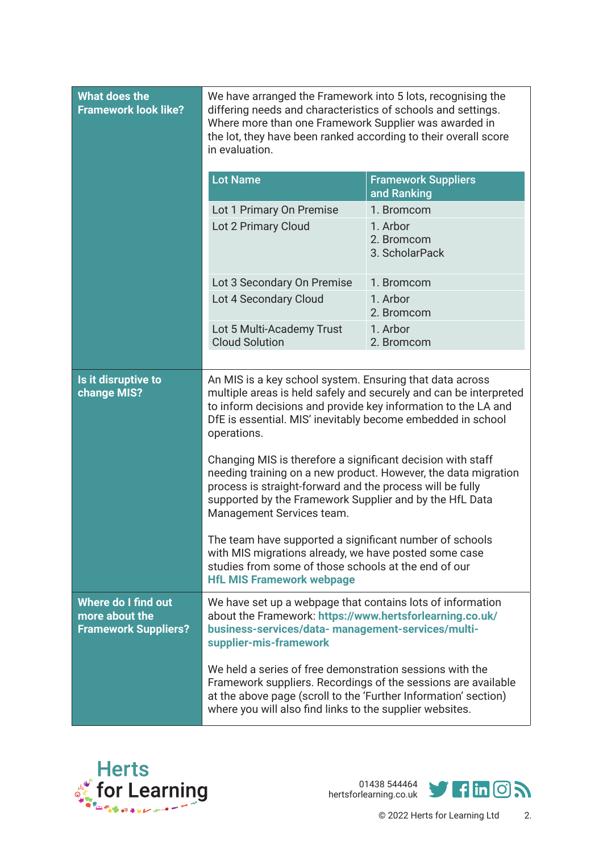| <b>What does the</b><br><b>Framework look like?</b>                  | We have arranged the Framework into 5 lots, recognising the<br>differing needs and characteristics of schools and settings.<br>Where more than one Framework Supplier was awarded in<br>the lot, they have been ranked according to their overall score<br>in evaluation.                                                                                                                                                                                                                                                                                          |                                           |  |
|----------------------------------------------------------------------|--------------------------------------------------------------------------------------------------------------------------------------------------------------------------------------------------------------------------------------------------------------------------------------------------------------------------------------------------------------------------------------------------------------------------------------------------------------------------------------------------------------------------------------------------------------------|-------------------------------------------|--|
|                                                                      | <b>Lot Name</b>                                                                                                                                                                                                                                                                                                                                                                                                                                                                                                                                                    | <b>Framework Suppliers</b><br>and Ranking |  |
|                                                                      | Lot 1 Primary On Premise                                                                                                                                                                                                                                                                                                                                                                                                                                                                                                                                           | 1. Bromcom                                |  |
|                                                                      | Lot 2 Primary Cloud                                                                                                                                                                                                                                                                                                                                                                                                                                                                                                                                                | 1. Arbor<br>2. Bromcom<br>3. ScholarPack  |  |
|                                                                      | Lot 3 Secondary On Premise                                                                                                                                                                                                                                                                                                                                                                                                                                                                                                                                         | 1. Bromcom                                |  |
|                                                                      | Lot 4 Secondary Cloud                                                                                                                                                                                                                                                                                                                                                                                                                                                                                                                                              | 1. Arbor<br>2. Bromcom                    |  |
|                                                                      | Lot 5 Multi-Academy Trust<br><b>Cloud Solution</b>                                                                                                                                                                                                                                                                                                                                                                                                                                                                                                                 | 1. Arbor<br>2. Bromcom                    |  |
|                                                                      |                                                                                                                                                                                                                                                                                                                                                                                                                                                                                                                                                                    |                                           |  |
| Is it disruptive to<br>change MIS?                                   | An MIS is a key school system. Ensuring that data across<br>multiple areas is held safely and securely and can be interpreted<br>to inform decisions and provide key information to the LA and<br>DfE is essential. MIS' inevitably become embedded in school<br>operations.<br>Changing MIS is therefore a significant decision with staff<br>needing training on a new product. However, the data migration<br>process is straight-forward and the process will be fully<br>supported by the Framework Supplier and by the HfL Data<br>Management Services team. |                                           |  |
|                                                                      |                                                                                                                                                                                                                                                                                                                                                                                                                                                                                                                                                                    |                                           |  |
|                                                                      | The team have supported a significant number of schools<br>with MIS migrations already, we have posted some case<br>studies from some of those schools at the end of our<br><b>HfL MIS Framework webpage</b>                                                                                                                                                                                                                                                                                                                                                       |                                           |  |
| Where do I find out<br>more about the<br><b>Framework Suppliers?</b> | We have set up a webpage that contains lots of information<br>about the Framework: https://www.hertsforlearning.co.uk/<br>business-services/data- management-services/multi-<br>supplier-mis-framework                                                                                                                                                                                                                                                                                                                                                             |                                           |  |
|                                                                      | We held a series of free demonstration sessions with the<br>Framework suppliers. Recordings of the sessions are available<br>at the above page (scroll to the 'Further Information' section)<br>where you will also find links to the supplier websites.                                                                                                                                                                                                                                                                                                           |                                           |  |



[hertsforlearning.co.uk](https://www.hertsforlearning.co.uk/) [01438 544464](tel:01438544464)

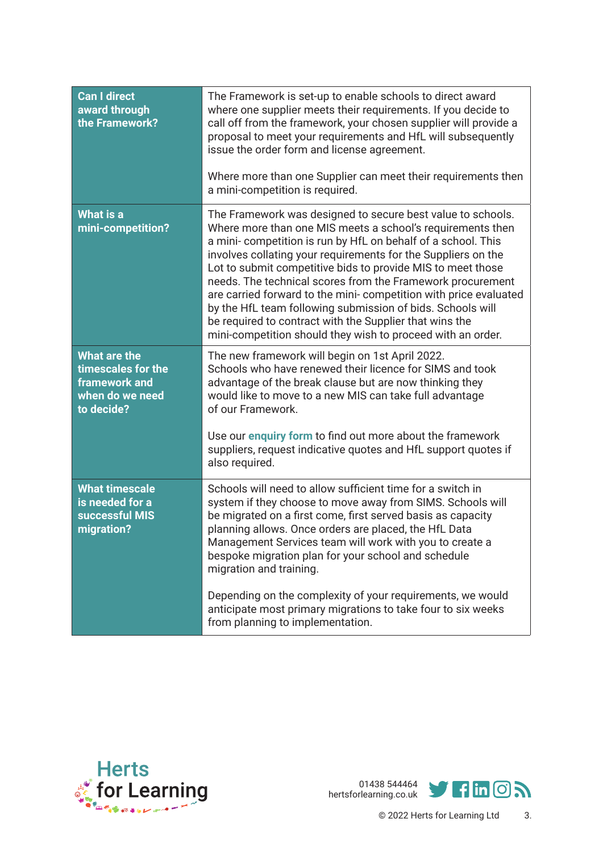| <b>Can I direct</b><br>award through<br>the Framework?                                      | The Framework is set-up to enable schools to direct award<br>where one supplier meets their requirements. If you decide to<br>call off from the framework, your chosen supplier will provide a<br>proposal to meet your requirements and HfL will subsequently<br>issue the order form and license agreement.<br>Where more than one Supplier can meet their requirements then<br>a mini-competition is required.                                                                                                                                                                                                                                   |
|---------------------------------------------------------------------------------------------|-----------------------------------------------------------------------------------------------------------------------------------------------------------------------------------------------------------------------------------------------------------------------------------------------------------------------------------------------------------------------------------------------------------------------------------------------------------------------------------------------------------------------------------------------------------------------------------------------------------------------------------------------------|
| <b>What is a</b><br>mini-competition?                                                       | The Framework was designed to secure best value to schools.<br>Where more than one MIS meets a school's requirements then<br>a mini-competition is run by HfL on behalf of a school. This<br>involves collating your requirements for the Suppliers on the<br>Lot to submit competitive bids to provide MIS to meet those<br>needs. The technical scores from the Framework procurement<br>are carried forward to the mini-competition with price evaluated<br>by the HfL team following submission of bids. Schools will<br>be required to contract with the Supplier that wins the<br>mini-competition should they wish to proceed with an order. |
| <b>What are the</b><br>timescales for the<br>framework and<br>when do we need<br>to decide? | The new framework will begin on 1st April 2022.<br>Schools who have renewed their licence for SIMS and took<br>advantage of the break clause but are now thinking they<br>would like to move to a new MIS can take full advantage<br>of our Framework.<br>Use our enquiry form to find out more about the framework<br>suppliers, request indicative quotes and HfL support quotes if<br>also required.                                                                                                                                                                                                                                             |
| <b>What timescale</b><br>is needed for a<br>successful MIS<br>migration?                    | Schools will need to allow sufficient time for a switch in<br>system if they choose to move away from SIMS. Schools will<br>be migrated on a first come, first served basis as capacity<br>planning allows. Once orders are placed, the HfL Data<br>Management Services team will work with you to create a<br>bespoke migration plan for your school and schedule<br>migration and training.<br>Depending on the complexity of your requirements, we would<br>anticipate most primary migrations to take four to six weeks<br>from planning to implementation.                                                                                     |



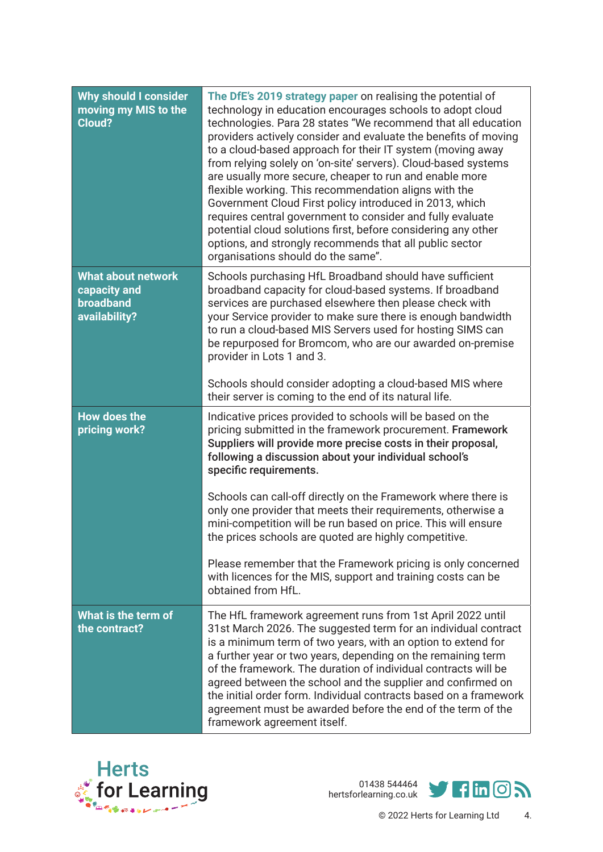| <b>Why should I consider</b><br>moving my MIS to the<br><b>Cloud?</b>   | The DfE's 2019 strategy paper on realising the potential of<br>technology in education encourages schools to adopt cloud<br>technologies. Para 28 states "We recommend that all education<br>providers actively consider and evaluate the benefits of moving<br>to a cloud-based approach for their IT system (moving away<br>from relying solely on 'on-site' servers). Cloud-based systems<br>are usually more secure, cheaper to run and enable more<br>flexible working. This recommendation aligns with the<br>Government Cloud First policy introduced in 2013, which<br>requires central government to consider and fully evaluate<br>potential cloud solutions first, before considering any other<br>options, and strongly recommends that all public sector<br>organisations should do the same". |
|-------------------------------------------------------------------------|-------------------------------------------------------------------------------------------------------------------------------------------------------------------------------------------------------------------------------------------------------------------------------------------------------------------------------------------------------------------------------------------------------------------------------------------------------------------------------------------------------------------------------------------------------------------------------------------------------------------------------------------------------------------------------------------------------------------------------------------------------------------------------------------------------------|
| <b>What about network</b><br>capacity and<br>broadband<br>availability? | Schools purchasing HfL Broadband should have sufficient<br>broadband capacity for cloud-based systems. If broadband<br>services are purchased elsewhere then please check with<br>your Service provider to make sure there is enough bandwidth<br>to run a cloud-based MIS Servers used for hosting SIMS can<br>be repurposed for Bromcom, who are our awarded on-premise<br>provider in Lots 1 and 3.<br>Schools should consider adopting a cloud-based MIS where                                                                                                                                                                                                                                                                                                                                          |
|                                                                         | their server is coming to the end of its natural life.                                                                                                                                                                                                                                                                                                                                                                                                                                                                                                                                                                                                                                                                                                                                                      |
| <b>How does the</b><br>pricing work?                                    | Indicative prices provided to schools will be based on the<br>pricing submitted in the framework procurement. Framework<br>Suppliers will provide more precise costs in their proposal,<br>following a discussion about your individual school's<br>specific requirements.                                                                                                                                                                                                                                                                                                                                                                                                                                                                                                                                  |
|                                                                         | Schools can call-off directly on the Framework where there is<br>only one provider that meets their requirements, otherwise a<br>mini-competition will be run based on price. This will ensure<br>the prices schools are quoted are highly competitive                                                                                                                                                                                                                                                                                                                                                                                                                                                                                                                                                      |
|                                                                         | Please remember that the Framework pricing is only concerned<br>with licences for the MIS, support and training costs can be<br>obtained from HfL.                                                                                                                                                                                                                                                                                                                                                                                                                                                                                                                                                                                                                                                          |
| What is the term of<br>the contract?                                    | The HfL framework agreement runs from 1st April 2022 until<br>31st March 2026. The suggested term for an individual contract<br>is a minimum term of two years, with an option to extend for<br>a further year or two years, depending on the remaining term<br>of the framework. The duration of individual contracts will be<br>agreed between the school and the supplier and confirmed on<br>the initial order form. Individual contracts based on a framework<br>agreement must be awarded before the end of the term of the<br>framework agreement itself.                                                                                                                                                                                                                                            |



[hertsforlearning.co.uk](https://www.hertsforlearning.co.uk/) [01438 544464](tel:01438544464)